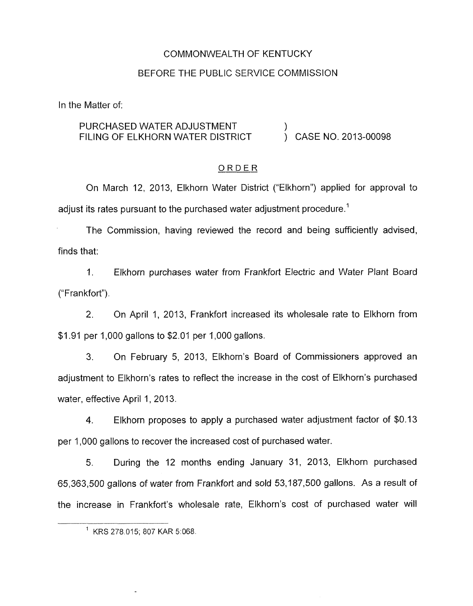# COMMONWEALTH OF KENTUCKY

## BEFORE THE PUBLIC SERVICE COMMISSION

In the Matter of:

# PURCHASED WATER ADJUSTMENT  $\rule{1em}{0.15mm}$  ) case no. 2013-00098

#### ORDER

On March 12, 2013, Elkhorn Water District ("Elkhorn") applied for approval to adjust its rates pursuant to the purchased water adjustment procedure.<sup>1</sup>

The Commission, having reviewed the record and being sufficiently advised, finds that:

1. Elkhorn purchases water from Frankfort Electric and Water Plant Board ("Frankfort").

2. On April I, 2013, Frankfort increased its wholesale rate to Elkhorn from \$1.91 per 1,000 gallons to \$2.01 per 1,000 gallons.

**3.** On February 5, 2013, Elkhorn's Board of Commissioners approved an adjustment to Elkhorn's rates to reflect the increase in the cost of Elkhorn's purchased water, effective April 1, 2013.

**4.** Elkhorn proposes to apply a purchased water adjustment factor of \$0.13 per 1,000 gallons to recover the increased cost of purchased water.

During the 12 months ending January 31, 2013, Elkhorn purchased 65,363,500 gallons of water from Frankfort and sold 53,187,500 gallons. As a result of the increase in Frankfort's wholesale rate, Elkhorn's cost of purchased water will 5.

<sup>&#</sup>x27; KRS 278.015; 807 KAR 5:068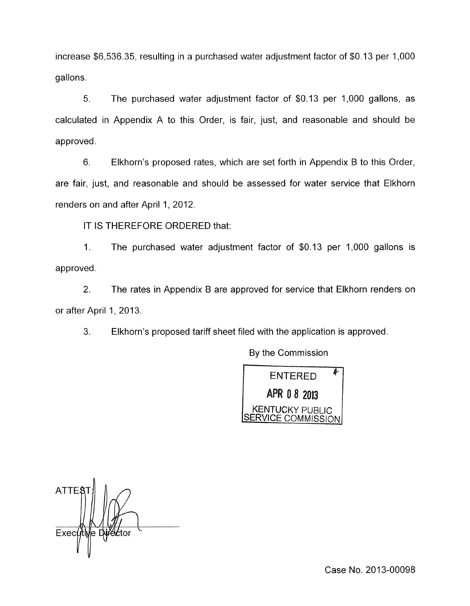increase \$6,536.35, resulting in a purchased water adjustment factor of \$0.13 per 1,000 gallons.

5. The purchased water adjustment factor of \$0.13 per 1,000 gallons, as calculated in Appendix A to this Order, is fair, just, and reasonable and should be approved.

6. Elkhorn's proposed rates, which are set forth in Appendix **B** to this Order, are fair, just, and reasonable and should be assessed for water service that Elkhorn renders on and after April 1, 2012.

IT IS THEREFORE ORDERED that:

1. The purchased water adjustment factor of \$0.13 per 1,000 gallons is approved.

2. The rates in Appendix B are approved for service that Elkhorn renders on or after April 1, 2013.

3. Elkhorn's proposed tariff sheet filed with the application is approved.

**By** the Commission



**ATTE** Executive Director

Case No. 2013-00098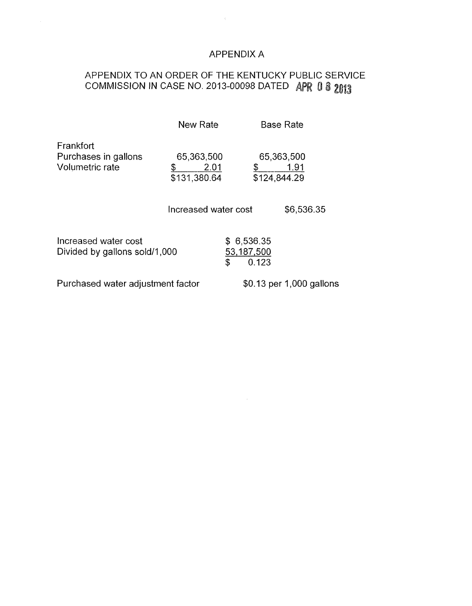## APPENDIX A

 $\sim 10^{-11}$ 

# APPENDIX TO AN ORDER OF THE KENTUCKY PUBLIC SERVICE COMMISSION IN CASE NO. 2013-00098 DATED *A*

 $\sim 3\%$ 

|                                                       | New Rate                                 |                                         | <b>Base Rate</b>           |            |
|-------------------------------------------------------|------------------------------------------|-----------------------------------------|----------------------------|------------|
| Frankfort<br>Purchases in gallons<br>Volumetric rate  | 65,363,500<br>2.01<br>\$<br>\$131,380.64 |                                         | 65,363,500<br>\$124,844.29 | 1.91       |
|                                                       | Increased water cost                     |                                         |                            | \$6,536.35 |
| Increased water cost<br>Divided by gallons sold/1,000 |                                          | \$6,536.35<br>53,187,500<br>\$<br>0.123 |                            |            |
| Purchased water adjustment factor                     |                                          |                                         | \$0.13 per 1,000 gallons   |            |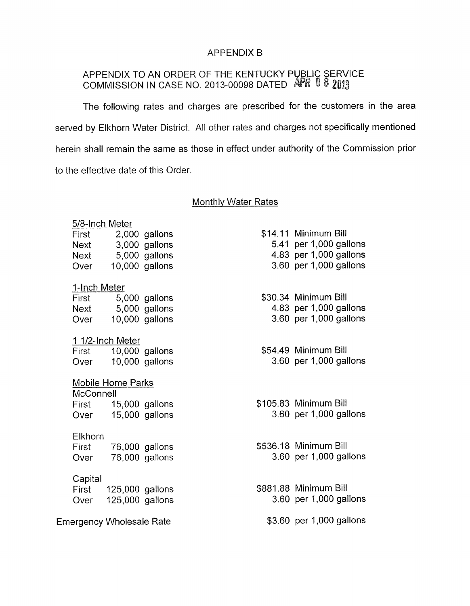## APPENDIX B

## APPENDIX TO AN ORDER OF THE KENTUCKY P COMMISSION IN CASE NO. 2013-00098 DATED

The following rates and charges are prescribed for the customers in the area served by Elkhorn Water District. All other rates and charges not specifically mentioned herein shall remain the same as those in effect under authority of the Commission prior to the effective date of this Order.

## Monthlv Water Rates

|                          | 5/8-Inch Meter          |                                      |               |  |                          |  |  |  |  |
|--------------------------|-------------------------|--------------------------------------|---------------|--|--------------------------|--|--|--|--|
|                          | First                   |                                      | 2,000 gallons |  | \$14.11 Minimum Bill     |  |  |  |  |
|                          | Next                    |                                      | 3,000 gallons |  | 5.41 per 1,000 gallons   |  |  |  |  |
|                          | Next                    |                                      | 5,000 gallons |  | 4.83 per 1,000 gallons   |  |  |  |  |
|                          | Over                    | 10,000 gallons                       |               |  | 3.60 per 1,000 gallons   |  |  |  |  |
|                          |                         |                                      |               |  |                          |  |  |  |  |
|                          | 1-Inch Meter            |                                      |               |  | \$30.34 Minimum Bill     |  |  |  |  |
|                          | First                   |                                      | 5,000 gallons |  | 4.83 per 1,000 gallons   |  |  |  |  |
|                          | Over                    | Next 5,000 gallons<br>10,000 gallons |               |  | 3.60 per 1,000 gallons   |  |  |  |  |
|                          |                         |                                      |               |  |                          |  |  |  |  |
|                          |                         | 1 1/2-Inch Meter                     |               |  |                          |  |  |  |  |
|                          | First                   | 10,000 gallons                       |               |  | \$54.49 Minimum Bill     |  |  |  |  |
|                          | Over                    | $10,000$ gallons                     |               |  | 3.60 per 1,000 gallons   |  |  |  |  |
|                          |                         |                                      |               |  |                          |  |  |  |  |
|                          |                         | <b>Mobile Home Parks</b>             |               |  |                          |  |  |  |  |
|                          | McConnell               |                                      |               |  |                          |  |  |  |  |
|                          | First                   | 15,000 gallons                       |               |  | \$105.83 Minimum Bill    |  |  |  |  |
|                          | Over                    | 15,000 gallons                       |               |  | 3.60 per 1,000 gallons   |  |  |  |  |
|                          |                         |                                      |               |  |                          |  |  |  |  |
|                          | <b>Elkhorn</b><br>First |                                      |               |  | \$536.18 Minimum Bill    |  |  |  |  |
|                          | Over                    | 76,000 gallons<br>76,000 gallons     |               |  | 3.60 per 1,000 gallons   |  |  |  |  |
|                          |                         |                                      |               |  |                          |  |  |  |  |
|                          | Capital                 |                                      |               |  |                          |  |  |  |  |
|                          | First                   | 125,000 gallons                      |               |  | \$881.88 Minimum Bill    |  |  |  |  |
|                          | Over                    | 125,000 gallons                      |               |  | 3.60 per 1,000 gallons   |  |  |  |  |
|                          |                         |                                      |               |  |                          |  |  |  |  |
| Emergency Wholesale Rate |                         |                                      |               |  | \$3.60 per 1,000 gallons |  |  |  |  |
|                          |                         |                                      |               |  |                          |  |  |  |  |